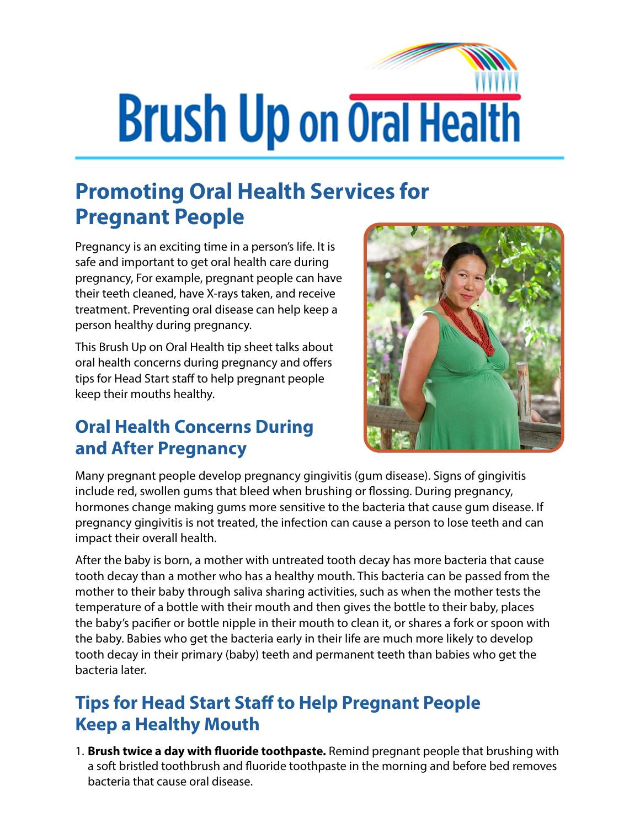# **Brush Up on Oral Health**

# **Promoting Oral Health Services for Pregnant People**

Pregnancy is an exciting time in a person's life. It is safe and important to get oral health care during pregnancy, For example, pregnant people can have their teeth cleaned, have X-rays taken, and receive treatment. Preventing oral disease can help keep a person healthy during pregnancy.

This Brush Up on Oral Health tip sheet talks about oral health concerns during pregnancy and offers tips for Head Start staff to help pregnant people keep their mouths healthy.

### **Oral Health Concerns During and After Pregnancy**



Many pregnant people develop pregnancy gingivitis (gum disease). Signs of gingivitis include red, swollen gums that bleed when brushing or flossing. During pregnancy, hormones change making gums more sensitive to the bacteria that cause gum disease. If pregnancy gingivitis is not treated, the infection can cause a person to lose teeth and can impact their overall health.

After the baby is born, a mother with untreated tooth decay has more bacteria that cause tooth decay than a mother who has a healthy mouth. This bacteria can be passed from the mother to their baby through saliva sharing activities, such as when the mother tests the temperature of a bottle with their mouth and then gives the bottle to their baby, places the baby's pacifier or bottle nipple in their mouth to clean it, or shares a fork or spoon with the baby. Babies who get the bacteria early in their life are much more likely to develop tooth decay in their primary (baby) teeth and permanent teeth than babies who get the bacteria later.

## **Tips for Head Start Staff to Help Pregnant People Keep a Healthy Mouth**

1. **Brush twice a day with fluoride toothpaste.** Remind pregnant people that brushing with a soft bristled toothbrush and fluoride toothpaste in the morning and before bed removes bacteria that cause oral disease.